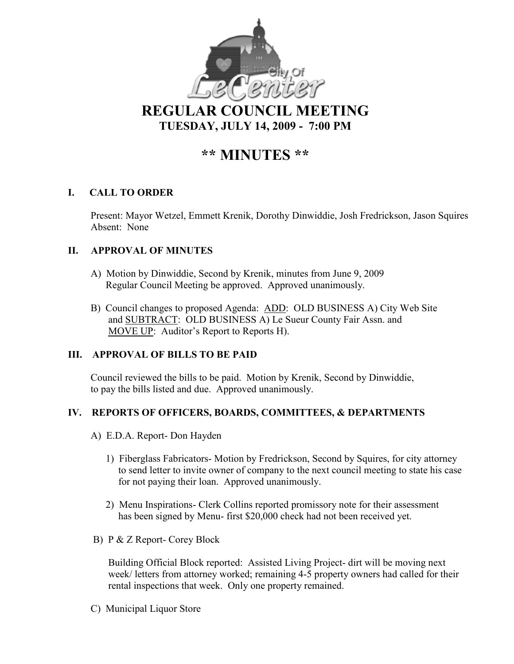

**REGULAR COUNCIL MEETING TUESDAY, JULY 14, 2009 - 7:00 PM** 

# **\*\* MI UTES \*\***

# **I. CALL TO ORDER**

Present: Mayor Wetzel, Emmett Krenik, Dorothy Dinwiddie, Josh Fredrickson, Jason Squires Absent: None

# **II. APPROVAL OF MINUTES**

- A) Motion by Dinwiddie, Second by Krenik, minutes from June 9, 2009 Regular Council Meeting be approved. Approved unanimously.
- B) Council changes to proposed Agenda: ADD: OLD BUSINESS A) City Web Site and SUBTRACT: OLD BUSINESS A) Le Sueur County Fair Assn. and MOVE UP: Auditor's Report to Reports H).

# **III. APPROVAL OF BILLS TO BE PAID**

Council reviewed the bills to be paid. Motion by Krenik, Second by Dinwiddie, to pay the bills listed and due. Approved unanimously.

# **IV. REPORTS OF OFFICERS, BOARDS, COMMITTEES, & DEPARTMENTS**

- A) E.D.A. Report- Don Hayden
	- 1) Fiberglass Fabricators- Motion by Fredrickson, Second by Squires, for city attorney to send letter to invite owner of company to the next council meeting to state his case for not paying their loan. Approved unanimously.
	- 2) Menu Inspirations- Clerk Collins reported promissory note for their assessment has been signed by Menu- first \$20,000 check had not been received yet.
- B) P & Z Report- Corey Block

 Building Official Block reported: Assisted Living Project- dirt will be moving next week/ letters from attorney worked; remaining 4-5 property owners had called for their rental inspections that week. Only one property remained.

C) Municipal Liquor Store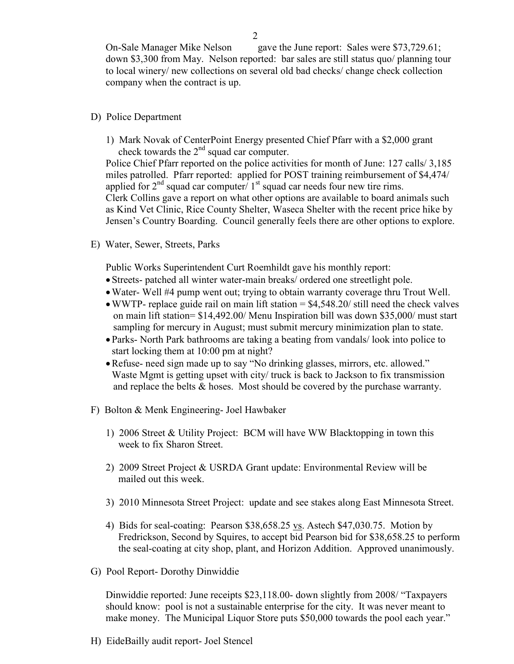On-Sale Manager Mike Nelson gave the June report: Sales were \$73,729.61; down \$3,300 from May. Nelson reported: bar sales are still status quo/ planning tour to local winery/ new collections on several old bad checks/ change check collection company when the contract is up.

#### D) Police Department

1) Mark Novak of CenterPoint Energy presented Chief Pfarr with a \$2,000 grant check towards the  $2<sup>nd</sup>$  squad car computer.

Police Chief Pfarr reported on the police activities for month of June: 127 calls/ 3,185 miles patrolled. Pfarr reported: applied for POST training reimbursement of \$4,474/ applied for  $2<sup>nd</sup>$  squad car computer/  $1<sup>st</sup>$  squad car needs four new tire rims. Clerk Collins gave a report on what other options are available to board animals such as Kind Vet Clinic, Rice County Shelter, Waseca Shelter with the recent price hike by Jensen's Country Boarding. Council generally feels there are other options to explore.

E) Water, Sewer, Streets, Parks

Public Works Superintendent Curt Roemhildt gave his monthly report:

- Streets- patched all winter water-main breaks/ ordered one streetlight pole.
- •Water- Well #4 pump went out; trying to obtain warranty coverage thru Trout Well.
- WWTP- replace guide rail on main lift station  $=$  \$4,548.20/ still need the check valves on main lift station= \$14,492.00/ Menu Inspiration bill was down \$35,000/ must start sampling for mercury in August; must submit mercury minimization plan to state.
- Parks- North Park bathrooms are taking a beating from vandals/ look into police to start locking them at 10:00 pm at night?
- Refuse- need sign made up to say "No drinking glasses, mirrors, etc. allowed." Waste Mgmt is getting upset with city/ truck is back to Jackson to fix transmission and replace the belts & hoses. Most should be covered by the purchase warranty.
- F) Bolton & Menk Engineering- Joel Hawbaker
	- 1) 2006 Street & Utility Project: BCM will have WW Blacktopping in town this week to fix Sharon Street.
	- 2) 2009 Street Project & USRDA Grant update: Environmental Review will be mailed out this week.
	- 3) 2010 Minnesota Street Project: update and see stakes along East Minnesota Street.
	- 4) Bids for seal-coating: Pearson \$38,658.25 vs. Astech \$47,030.75. Motion by Fredrickson, Second by Squires, to accept bid Pearson bid for \$38,658.25 to perform the seal-coating at city shop, plant, and Horizon Addition. Approved unanimously.
- G) Pool Report- Dorothy Dinwiddie

 Dinwiddie reported: June receipts \$23,118.00- down slightly from 2008/ "Taxpayers should know: pool is not a sustainable enterprise for the city. It was never meant to make money. The Municipal Liquor Store puts \$50,000 towards the pool each year."

H) EideBailly audit report- Joel Stencel